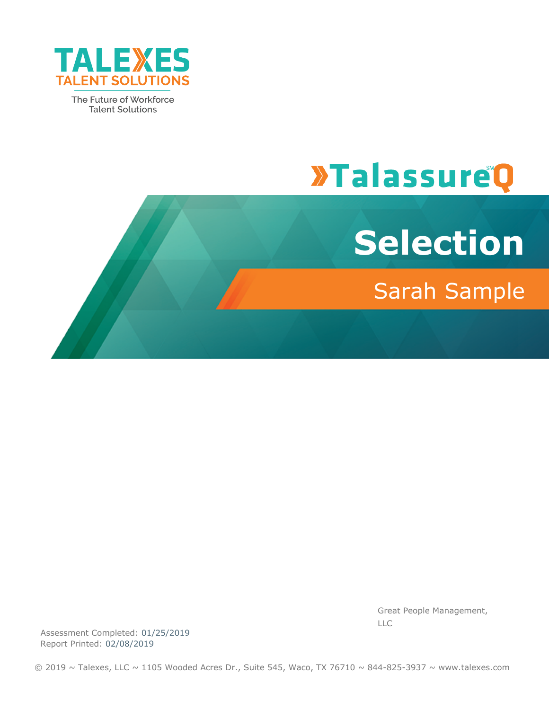

The Future of Workforce **Talent Solutions** 

# **>TalassureQ**



Great People Management, LLC

Assessment Completed: 01/25/2019 Report Printed: 02/08/2019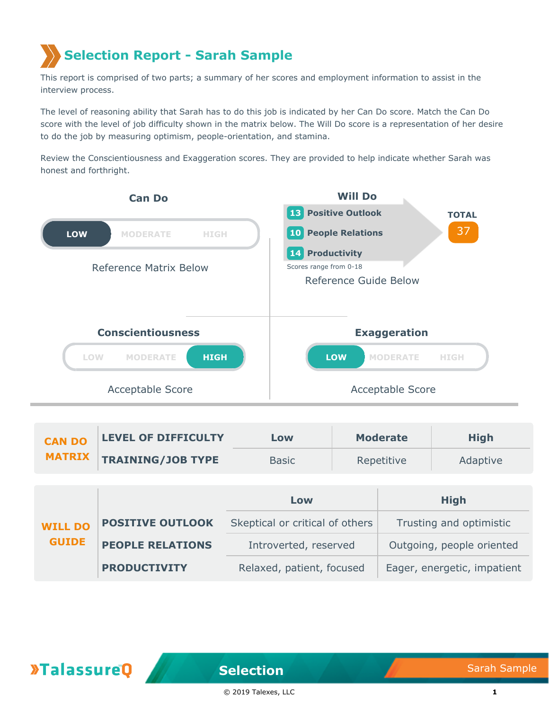## **Selection Report - Sarah Sample**

This report is comprised of two parts; a summary of her scores and employment information to assist in the interview process.

The level of reasoning ability that Sarah has to do this job is indicated by her Can Do score. Match the Can Do score with the level of job difficulty shown in the matrix below. The Will Do score is a representation of her desire to do the job by measuring optimism, people-orientation, and stamina.

Review the Conscientiousness and Exaggeration scores. They are provided to help indicate whether Sarah was honest and forthright.



| <b>CAN DO</b> | <b>LEVEL OF DIFFICULTY</b>      | Low          | <b>Moderate</b> | <b>High</b> |
|---------------|---------------------------------|--------------|-----------------|-------------|
|               | <b>MATRIX TRAINING/JOB TYPE</b> | <b>Basic</b> | Repetitive      | Adaptive    |

|                                |                         | Low                             | <b>High</b>                 |  |
|--------------------------------|-------------------------|---------------------------------|-----------------------------|--|
| <b>WILL DO</b><br><b>GUIDE</b> | <b>POSITIVE OUTLOOK</b> | Skeptical or critical of others | Trusting and optimistic     |  |
|                                | <b>PEOPLE RELATIONS</b> | Introverted, reserved           | Outgoing, people oriented   |  |
|                                | <b>PRODUCTIVITY</b>     | Relaxed, patient, focused       | Eager, energetic, impatient |  |

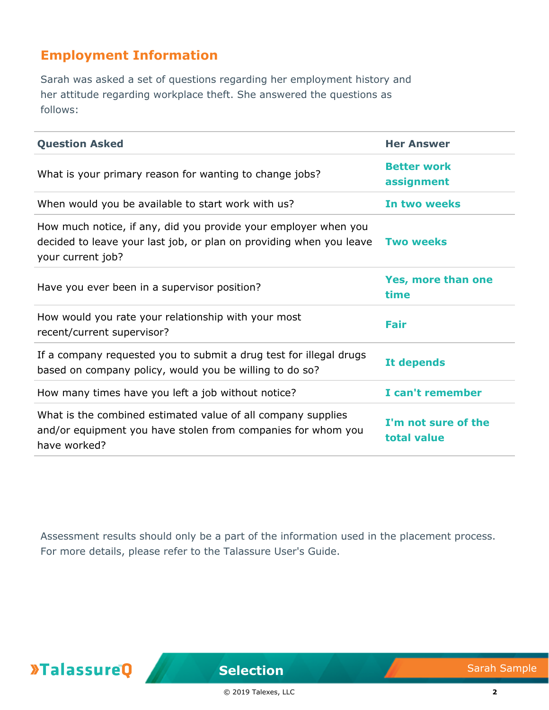## **Employment Information**

Sarah was asked a set of questions regarding her employment history and her attitude regarding workplace theft. She answered the questions as follows:

| <b>Question Asked</b>                                                                                                                                       | <b>Her Answer</b>                  |
|-------------------------------------------------------------------------------------------------------------------------------------------------------------|------------------------------------|
| What is your primary reason for wanting to change jobs?                                                                                                     | <b>Better work</b><br>assignment   |
| When would you be available to start work with us?                                                                                                          | In two weeks                       |
| How much notice, if any, did you provide your employer when you<br>decided to leave your last job, or plan on providing when you leave<br>your current job? | <b>Two weeks</b>                   |
| Have you ever been in a supervisor position?                                                                                                                | Yes, more than one<br>time         |
| How would you rate your relationship with your most<br>recent/current supervisor?                                                                           | Fair                               |
| If a company requested you to submit a drug test for illegal drugs<br>based on company policy, would you be willing to do so?                               | It depends                         |
| How many times have you left a job without notice?                                                                                                          | I can't remember                   |
| What is the combined estimated value of all company supplies<br>and/or equipment you have stolen from companies for whom you<br>have worked?                | I'm not sure of the<br>total value |

Assessment results should only be a part of the information used in the placement process. For more details, please refer to the Talassure User's Guide.

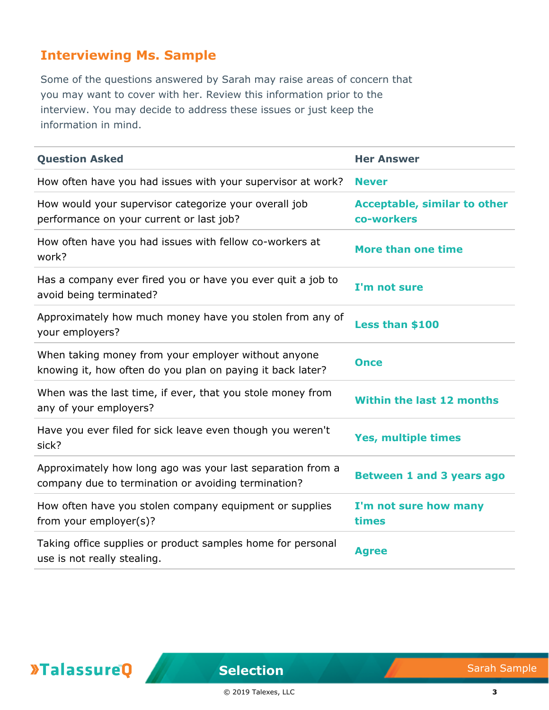## **Interviewing Ms. Sample**

Some of the questions answered by Sarah may raise areas of concern that you may want to cover with her. Review this information prior to the interview. You may decide to address these issues or just keep the information in mind.

| <b>Question Asked</b>                                                                                             | <b>Her Answer</b>                                 |
|-------------------------------------------------------------------------------------------------------------------|---------------------------------------------------|
| How often have you had issues with your supervisor at work?                                                       | <b>Never</b>                                      |
| How would your supervisor categorize your overall job<br>performance on your current or last job?                 | <b>Acceptable, similar to other</b><br>co-workers |
| How often have you had issues with fellow co-workers at<br>work?                                                  | More than one time                                |
| Has a company ever fired you or have you ever quit a job to<br>avoid being terminated?                            | I'm not sure                                      |
| Approximately how much money have you stolen from any of<br>your employers?                                       | Less than \$100                                   |
| When taking money from your employer without anyone<br>knowing it, how often do you plan on paying it back later? | <b>Once</b>                                       |
| When was the last time, if ever, that you stole money from<br>any of your employers?                              | <b>Within the last 12 months</b>                  |
| Have you ever filed for sick leave even though you weren't<br>sick?                                               | <b>Yes, multiple times</b>                        |
| Approximately how long ago was your last separation from a<br>company due to termination or avoiding termination? | <b>Between 1 and 3 years ago</b>                  |
| How often have you stolen company equipment or supplies<br>from your employer(s)?                                 | I'm not sure how many<br>times                    |
| Taking office supplies or product samples home for personal<br>use is not really stealing.                        | <b>Agree</b>                                      |

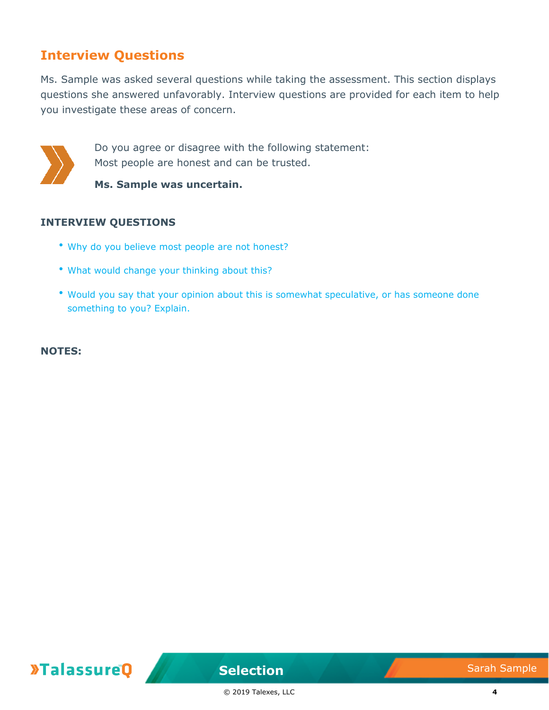### **Interview Questions**

Ms. Sample was asked several questions while taking the assessment. This section displays questions she answered unfavorably. Interview questions are provided for each item to help you investigate these areas of concern.



Do you agree or disagree with the following statement: Most people are honest and can be trusted.

**Ms. Sample was uncertain.**

#### **INTERVIEW QUESTIONS**

- Why do you believe most people are not honest?
- What would change your thinking about this?
- Would you say that your opinion about this is somewhat speculative, or has someone done something to you? Explain.

**NOTES:**

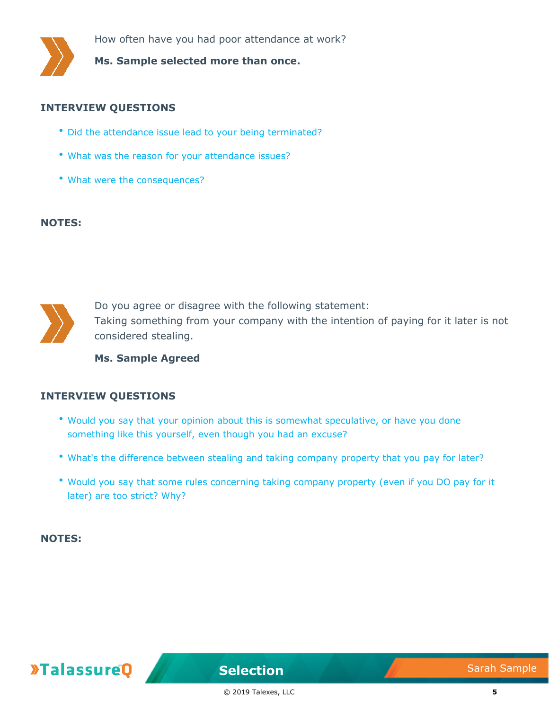

How often have you had poor attendance at work?

**Ms. Sample selected more than once.**

#### **INTERVIEW QUESTIONS**

- Did the attendance issue lead to your being terminated?
- What was the reason for your attendance issues?
- What were the consequences?

#### **NOTES:**



Do you agree or disagree with the following statement: Taking something from your company with the intention of paying for it later is not considered stealing.

**Ms. Sample Agreed**

#### **INTERVIEW QUESTIONS**

- Would you say that your opinion about this is somewhat speculative, or have you done something like this yourself, even though you had an excuse?
- What's the difference between stealing and taking company property that you pay for later?
- Would you say that some rules concerning taking company property (even if you DO pay for it later) are too strict? Why?

**NOTES:**



**Selection** Sarah Sample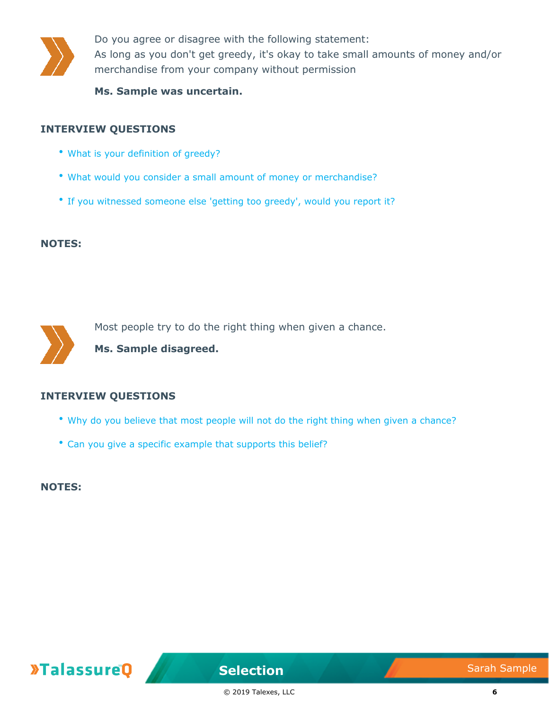

Do you agree or disagree with the following statement: As long as you don't get greedy, it's okay to take small amounts of money and/or merchandise from your company without permission

**Ms. Sample was uncertain.**

#### **INTERVIEW QUESTIONS**

- What is your definition of greedy?
- What would you consider a small amount of money or merchandise?
- If you witnessed someone else 'getting too greedy', would you report it?

#### **NOTES:**



Most people try to do the right thing when given a chance.

**Ms. Sample disagreed.**

#### **INTERVIEW QUESTIONS**

- Why do you believe that most people will not do the right thing when given a chance?
- Can you give a specific example that supports this belief?

**NOTES:**



**Selection** Sarah Sample